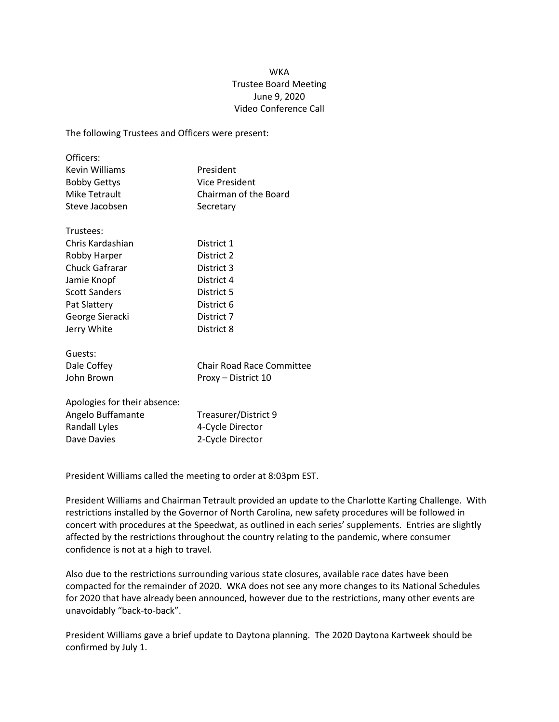## **WKA** Trustee Board Meeting June 9, 2020 Video Conference Call

The following Trustees and Officers were present:

| Officers:                    |                                  |
|------------------------------|----------------------------------|
| <b>Kevin Williams</b>        | President                        |
| <b>Bobby Gettys</b>          | Vice President                   |
| Mike Tetrault                | Chairman of the Board            |
| Steve Jacobsen               | Secretary                        |
| Trustees:                    |                                  |
| Chris Kardashian             | District 1                       |
| Robby Harper                 | District 2                       |
| Chuck Gafrarar               | District 3                       |
| Jamie Knopf                  | District 4                       |
| <b>Scott Sanders</b>         | District 5                       |
| Pat Slattery                 | District 6                       |
| George Sieracki              | District 7                       |
| Jerry White                  | District 8                       |
| Guests:                      |                                  |
| Dale Coffey                  | <b>Chair Road Race Committee</b> |
| John Brown                   | Proxy - District 10              |
| Apologies for their absence: |                                  |
| Angelo Buffamante            | Treasurer/District 9             |
| <b>Randall Lyles</b>         | 4-Cycle Director                 |
| Dave Davies                  | 2-Cycle Director                 |

President Williams called the meeting to order at 8:03pm EST.

President Williams and Chairman Tetrault provided an update to the Charlotte Karting Challenge. With restrictions installed by the Governor of North Carolina, new safety procedures will be followed in concert with procedures at the Speedwat, as outlined in each series' supplements. Entries are slightly affected by the restrictions throughout the country relating to the pandemic, where consumer confidence is not at a high to travel.

Also due to the restrictions surrounding various state closures, available race dates have been compacted for the remainder of 2020. WKA does not see any more changes to its National Schedules for 2020 that have already been announced, however due to the restrictions, many other events are unavoidably "back-to-back".

President Williams gave a brief update to Daytona planning. The 2020 Daytona Kartweek should be confirmed by July 1.